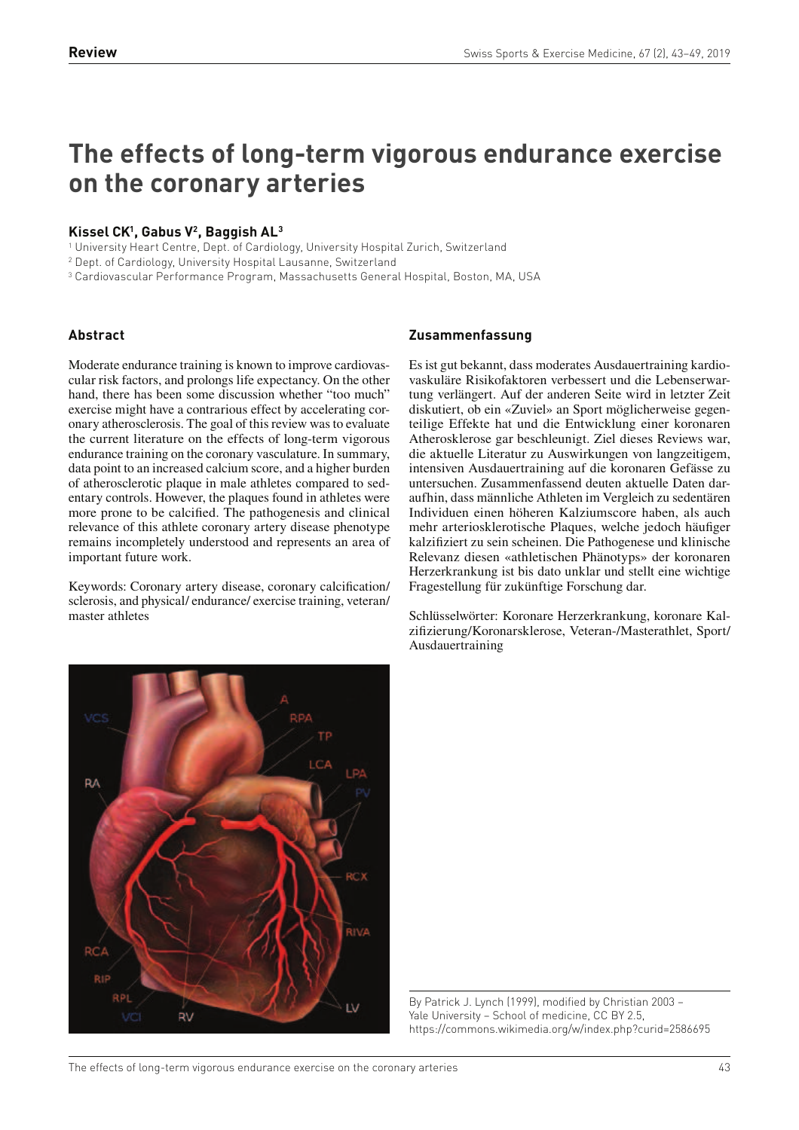# **The effects of long-term vigorous endurance exercise on the coronary arteries**

# **Kissel CK<sup>1</sup> , Gabus V<sup>2</sup> , Baggish AL<sup>3</sup>**

1 University Heart Centre, Dept. of Cardiology, University Hospital Zurich, Switzerland

2 Dept. of Cardiology, University Hospital Lausanne, Switzerland

3 Cardiovascular Performance Program, Massachusetts General Hospital, Boston, MA, USA

# **Abstract**

Moderate endurance training is known to improve cardiovascular risk factors, and prolongs life expectancy. On the other hand, there has been some discussion whether "too much" exercise might have a contrarious effect by accelerating coronary atherosclerosis. The goal of this review was to evaluate the current literature on the effects of long-term vigorous endurance training on the coronary vasculature. In summary, data point to an increased calcium score, and a higher burden of atherosclerotic plaque in male athletes compared to sedentary controls. However, the plaques found in athletes were more prone to be calcified. The pathogenesis and clinical relevance of this athlete coronary artery disease phenotype remains incompletely understood and represents an area of important future work.

Keywords: Coronary artery disease, coronary calcification/ sclerosis, and physical/ endurance/ exercise training, veteran/ master athletes

# **Zusammenfassung**

Es ist gut bekannt, dass moderates Ausdauertraining kardiovaskuläre Risikofaktoren verbessert und die Lebenserwartung verlängert. Auf der anderen Seite wird in letzter Zeit diskutiert, ob ein «Zuviel» an Sport möglicherweise gegenteilige Effekte hat und die Entwicklung einer koronaren Atherosklerose gar beschleunigt. Ziel dieses Reviews war, die aktuelle Literatur zu Auswirkungen von langzeitigem, intensiven Ausdauertraining auf die koronaren Gefässe zu untersuchen. Zusammenfassend deuten aktuelle Daten daraufhin, dass männliche Athleten im Vergleich zu sedentären Individuen einen höheren Kalziumscore haben, als auch mehr arteriosklerotische Plaques, welche jedoch häufiger kalzifiziert zu sein scheinen. Die Pathogenese und klinische Relevanz diesen «athletischen Phänotyps» der koronaren Herzerkrankung ist bis dato unklar und stellt eine wichtige Fragestellung für zukünftige Forschung dar.

Schlüsselwörter: Koronare Herzerkrankung, koronare Kalzifizierung/Koronarsklerose, Veteran-/Masterathlet, Sport/ Ausdauertraining



By Patrick J. Lynch (1999), modified by Christian 2003 – Yale University – School of medicine, CC BY 2.5, https://commons.wikimedia.org/w/index.php?curid=2586695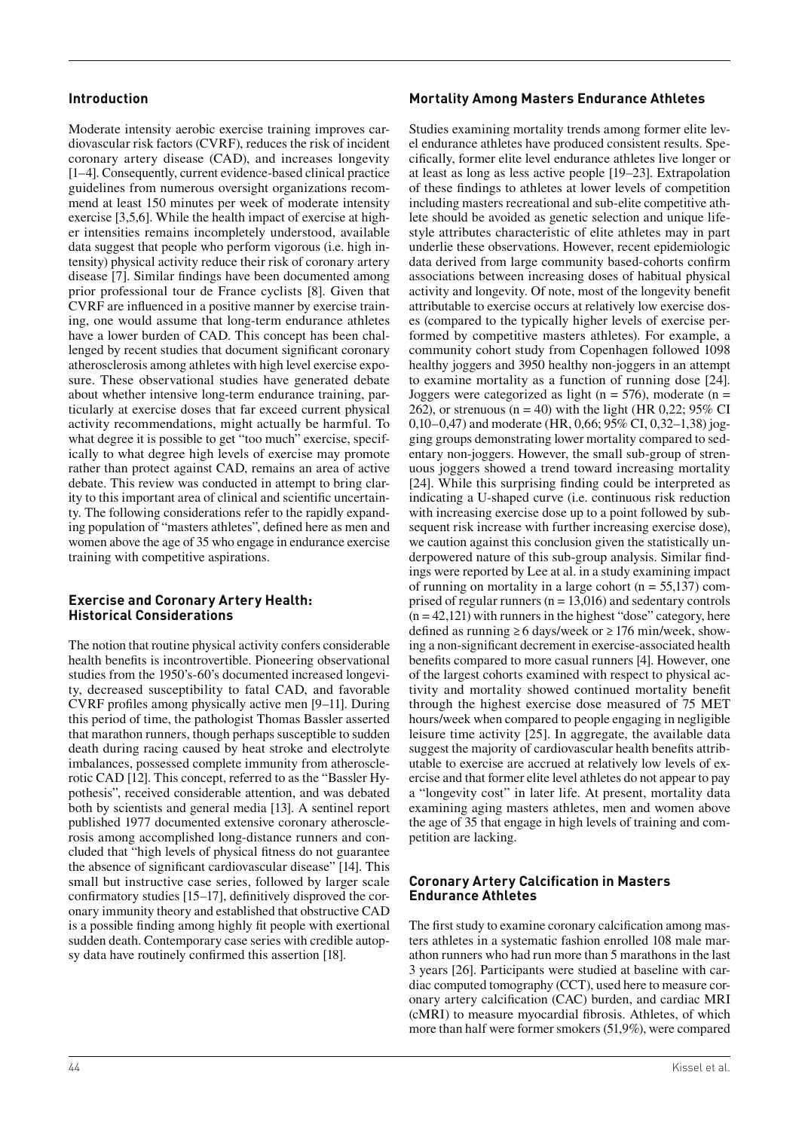# **Introduction**

Moderate intensity aerobic exercise training improves cardiovascular risk factors (CVRF), reduces the risk of incident coronary artery disease (CAD), and increases longevity [1–4]. Consequently, current evidence-based clinical practice guidelines from numerous oversight organizations recommend at least 150 minutes per week of moderate intensity exercise [3,5,6]. While the health impact of exercise at higher intensities remains incompletely understood, available data suggest that people who perform vigorous (i.e. high intensity) physical activity reduce their risk of coronary artery disease [7]. Similar findings have been documented among prior professional tour de France cyclists [8]. Given that CVRF are influenced in a positive manner by exercise training, one would assume that long-term endurance athletes have a lower burden of CAD. This concept has been challenged by recent studies that document significant coronary atherosclerosis among athletes with high level exercise exposure. These observational studies have generated debate about whether intensive long-term endurance training, particularly at exercise doses that far exceed current physical activity recommendations, might actually be harmful. To what degree it is possible to get "too much" exercise, specifically to what degree high levels of exercise may promote rather than protect against CAD, remains an area of active debate. This review was conducted in attempt to bring clarity to this important area of clinical and scientific uncertainty. The following considerations refer to the rapidly expanding population of "masters athletes", defined here as men and women above the age of 35 who engage in endurance exercise training with competitive aspirations.

#### **Exercise and Coronary Artery Health: Historical Considerations**

The notion that routine physical activity confers considerable health benefits is incontrovertible. Pioneering observational studies from the 1950's-60's documented increased longevity, decreased susceptibility to fatal CAD, and favorable  $CVRF$  profiles among physically active men  $[9-11]$ . During this period of time, the pathologist Thomas Bassler asserted that marathon runners, though perhaps susceptible to sudden death during racing caused by heat stroke and electrolyte imbalances, possessed complete immunity from atherosclerotic CAD [12]. This concept, referred to as the "Bassler Hypothesis", received considerable attention, and was debated both by scientists and general media [13]. A sentinel report published 1977 documented extensive coronary atherosclerosis among accomplished long-distance runners and concluded that "high levels of physical fitness do not guarantee the absence of significant cardiovascular disease" [14]. This small but instructive case series, followed by larger scale confirmatory studies  $[15–17]$ , definitively disproved the coronary immunity theory and established that obstructive CAD is a possible finding among highly fit people with exertional sudden death. Contemporary case series with credible autopsy data have routinely confirmed this assertion [18].

# **Mortality Among Masters Endurance Athletes**

Studies examining mortality trends among former elite level endurance athletes have produced consistent results. Specifically, former elite level endurance athletes live longer or at least as long as less active people [19–23]. Extrapolation of these findings to athletes at lower levels of competition including masters recreational and sub-elite competitive athlete should be avoided as genetic selection and unique lifestyle attributes characteristic of elite athletes may in part underlie these observations. However, recent epidemiologic data derived from large community based-cohorts confirm associations between increasing doses of habitual physical activity and longevity. Of note, most of the longevity benet attributable to exercise occurs at relatively low exercise doses (compared to the typically higher levels of exercise performed by competitive masters athletes). For example, a community cohort study from Copenhagen followed 1098 healthy joggers and 3950 healthy non-joggers in an attempt to examine mortality as a function of running dose [24]. Joggers were categorized as light ( $n = 576$ ), moderate ( $n =$ 262), or strenuous ( $n = 40$ ) with the light (HR 0,22; 95% CI 0,10–0,47) and moderate (HR, 0,66; 95% CI, 0,32–1,38) jogging groups demonstrating lower mortality compared to sedentary non-joggers. However, the small sub-group of strenuous joggers showed a trend toward increasing mortality [24]. While this surprising finding could be interpreted as indicating a U-shaped curve (i.e. continuous risk reduction with increasing exercise dose up to a point followed by subsequent risk increase with further increasing exercise dose). we caution against this conclusion given the statistically underpowered nature of this sub-group analysis. Similar findings were reported by Lee at al. in a study examining impact of running on mortality in a large cohort ( $n = 55,137$ ) comprised of regular runners ( $n = 13,016$ ) and sedentary controls  $(n = 42,121)$  with runners in the highest "dose" category, here defined as running ≥ 6 days/week or  $≥ 176$  min/week, showing a non-significant decrement in exercise-associated health benefits compared to more casual runners [4]. However, one of the largest cohorts examined with respect to physical activity and mortality showed continued mortality benefit through the highest exercise dose measured of 75 MET hours/week when compared to people engaging in negligible leisure time activity [25]. In aggregate, the available data suggest the majority of cardiovascular health benefits attributable to exercise are accrued at relatively low levels of exercise and that former elite level athletes do not appear to pay a "longevity cost" in later life. At present, mortality data examining aging masters athletes, men and women above the age of 35 that engage in high levels of training and competition are lacking.

# **Coronary Artery Calcification in Masters Endurance Athletes**

The first study to examine coronary calcification among masters athletes in a systematic fashion enrolled 108 male marathon runners who had run more than 5 marathons in the last 3 years [26]. Participants were studied at baseline with cardiac computed tomography (CCT), used here to measure coronary artery calcification (CAC) burden, and cardiac MRI (cMRI) to measure myocardial fibrosis. Athletes, of which more than half were former smokers (51,9%), were compared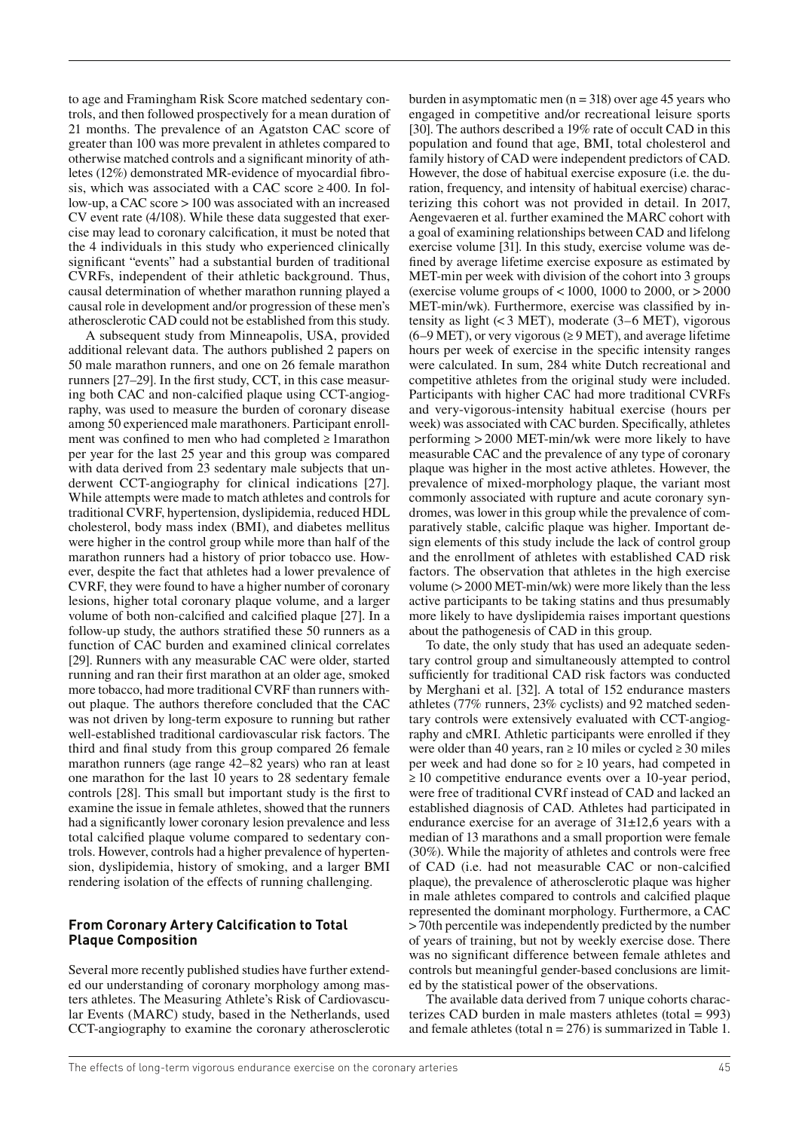to age and Framingham Risk Score matched sedentary controls, and then followed prospectively for a mean duration of 21 months. The prevalence of an Agatston CAC score of greater than 100 was more prevalent in athletes compared to otherwise matched controls and a signicant minority of athletes (12%) demonstrated MR-evidence of myocardial fibrosis, which was associated with a CAC score  $\geq 400$ . In follow-up, a CAC score > 100 was associated with an increased CV event rate (4/108). While these data suggested that exercise may lead to coronary calcification, it must be noted that the 4 individuals in this study who experienced clinically significant "events" had a substantial burden of traditional CVRFs, independent of their athletic background. Thus, causal determination of whether marathon running played a causal role in development and/or progression of these men's atherosclerotic CAD could not be established from this study.

A subsequent study from Minneapolis, USA, provided additional relevant data. The authors published 2 papers on 50 male marathon runners, and one on 26 female marathon runners  $[27-29]$ . In the first study, CCT, in this case measuring both CAC and non-calcified plaque using CCT-angiography, was used to measure the burden of coronary disease among 50 experienced male marathoners. Participant enrollment was confined to men who had completed  $\geq 1$ marathon per year for the last 25 year and this group was compared with data derived from 23 sedentary male subjects that underwent CCT-angiography for clinical indications [27]. While attempts were made to match athletes and controls for traditional CVRF, hypertension, dyslipidemia, reduced HDL cholesterol, body mass index (BMI), and diabetes mellitus were higher in the control group while more than half of the marathon runners had a history of prior tobacco use. However, despite the fact that athletes had a lower prevalence of CVRF, they were found to have a higher number of coronary lesions, higher total coronary plaque volume, and a larger volume of both non-calcified and calcified plaque [27]. In a follow-up study, the authors stratified these 50 runners as a function of CAC burden and examined clinical correlates [29]. Runners with any measurable CAC were older, started running and ran their first marathon at an older age, smoked more tobacco, had more traditional CVRF than runners without plaque. The authors therefore concluded that the CAC was not driven by long-term exposure to running but rather well-established traditional cardiovascular risk factors. The third and final study from this group compared 26 female marathon runners (age range 42–82 years) who ran at least one marathon for the last 10 years to 28 sedentary female controls [28]. This small but important study is the first to examine the issue in female athletes, showed that the runners had a significantly lower coronary lesion prevalence and less total calcified plaque volume compared to sedentary controls. However, controls had a higher prevalence of hypertension, dyslipidemia, history of smoking, and a larger BMI rendering isolation of the effects of running challenging.

#### **From Coronary Artery Calcification to Total Plaque Composition**

Several more recently published studies have further extended our understanding of coronary morphology among masters athletes. The Measuring Athlete's Risk of Cardiovascular Events (MARC) study, based in the Netherlands, used CCT-angiography to examine the coronary atherosclerotic burden in asymptomatic men  $(n = 318)$  over age 45 years who engaged in competitive and/or recreational leisure sports [30]. The authors described a 19% rate of occult CAD in this population and found that age, BMI, total cholesterol and family history of CAD were independent predictors of CAD. However, the dose of habitual exercise exposure (i.e. the duration, frequency, and intensity of habitual exercise) characterizing this cohort was not provided in detail. In 2017, Aengevaeren et al. further examined the MARC cohort with a goal of examining relationships between CAD and lifelong exercise volume [31]. In this study, exercise volume was de fined by average lifetime exercise exposure as estimated by MET-min per week with division of the cohort into 3 groups (exercise volume groups of  $< 1000$ , 1000 to 2000, or  $> 2000$ MET-min/wk). Furthermore, exercise was classified by intensity as light  $(< 3$  MET), moderate  $(3-6$  MET), vigorous  $(6–9 \text{ MET})$ , or very vigorous ( $\geq 9 \text{ MET}$ ), and average lifetime hours per week of exercise in the specific intensity ranges were calculated. In sum, 284 white Dutch recreational and competitive athletes from the original study were included. Participants with higher CAC had more traditional CVRFs and very-vigorous-intensity habitual exercise (hours per week) was associated with CAC burden. Specifically, athletes performing > 2000 MET-min/wk were more likely to have measurable CAC and the prevalence of any type of coronary plaque was higher in the most active athletes. However, the prevalence of mixed-morphology plaque, the variant most commonly associated with rupture and acute coronary syndromes, was lower in this group while the prevalence of comparatively stable, calcific plaque was higher. Important design elements of this study include the lack of control group and the enrollment of athletes with established CAD risk factors. The observation that athletes in the high exercise volume (> 2000 MET-min/wk) were more likely than the less active participants to be taking statins and thus presumably more likely to have dyslipidemia raises important questions about the pathogenesis of CAD in this group.

To date, the only study that has used an adequate sedentary control group and simultaneously attempted to control sufficiently for traditional CAD risk factors was conducted by Merghani et al. [32]. A total of 152 endurance masters athletes (77% runners, 23% cyclists) and 92 matched sedentary controls were extensively evaluated with CCT-angiography and cMRI. Athletic participants were enrolled if they were older than 40 years, ran  $\geq 10$  miles or cycled  $\geq 30$  miles per week and had done so for  $\geq 10$  years, had competed in ≥ 10 competitive endurance events over a 10-year period, were free of traditional CVRf instead of CAD and lacked an established diagnosis of CAD. Athletes had participated in endurance exercise for an average of 31±12,6 years with a median of 13 marathons and a small proportion were female (30%). While the majority of athletes and controls were free of CAD (i.e. had not measurable CAC or non-calcified plaque), the prevalence of atherosclerotic plaque was higher in male athletes compared to controls and calcified plaque represented the dominant morphology. Furthermore, a CAC > 70th percentile was independently predicted by the number of years of training, but not by weekly exercise dose. There was no significant difference between female athletes and controls but meaningful gender-based conclusions are limited by the statistical power of the observations.

The available data derived from 7 unique cohorts characterizes CAD burden in male masters athletes (total = 993) and female athletes (total  $n = 276$ ) is summarized in Table 1.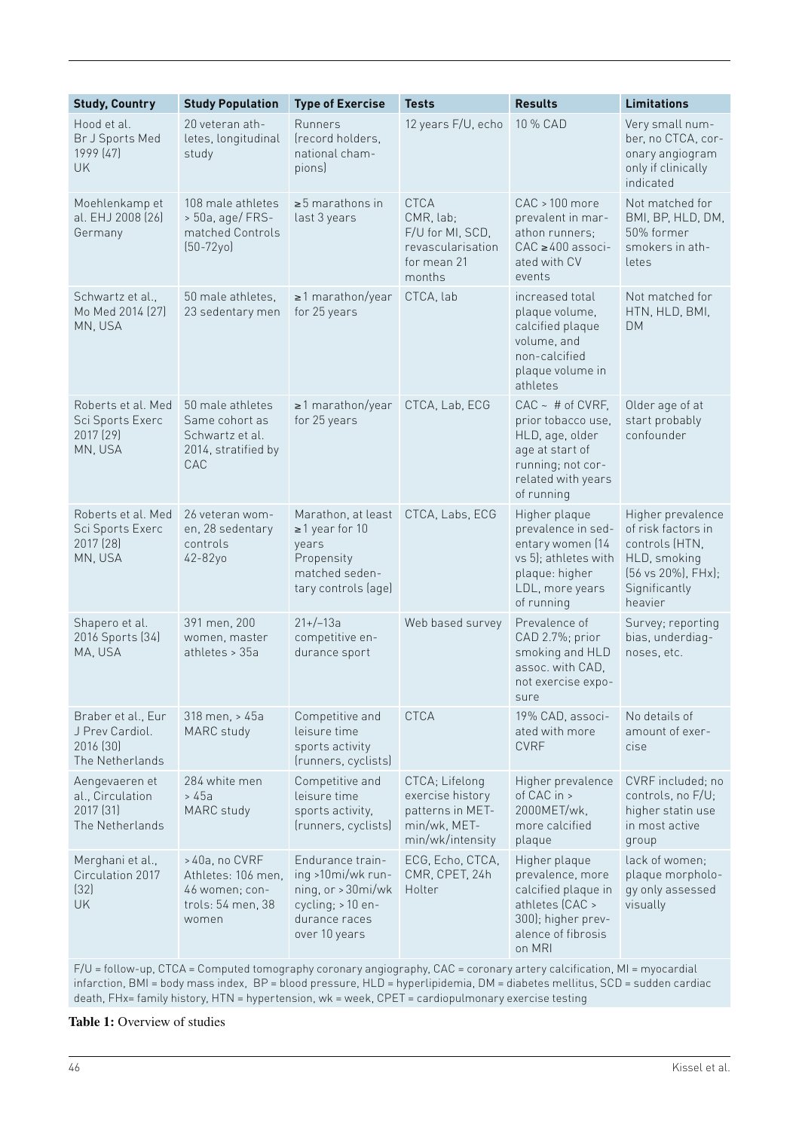| <b>Study, Country</b>                                                 | <b>Study Population</b>                                                             | <b>Type of Exercise</b>                                                                                            | <b>Tests</b>                                                                               | <b>Results</b>                                                                                                                          | <b>Limitations</b>                                                                                                          |
|-----------------------------------------------------------------------|-------------------------------------------------------------------------------------|--------------------------------------------------------------------------------------------------------------------|--------------------------------------------------------------------------------------------|-----------------------------------------------------------------------------------------------------------------------------------------|-----------------------------------------------------------------------------------------------------------------------------|
| Hood et al.<br>Br J Sports Med<br>1999 (47)<br><b>UK</b>              | 20 veteran ath-<br>letes, longitudinal<br>study                                     | Runners<br>(record holders,<br>national cham-<br>pions)                                                            | 12 years F/U, echo                                                                         | 10 % CAD                                                                                                                                | Very small num-<br>ber, no CTCA, cor-<br>onary angiogram<br>only if clinically<br>indicated                                 |
| Moehlenkamp et<br>al. EHJ 2008 (26)<br>Germany                        | 108 male athletes<br>> 50a, age/ FRS-<br>matched Controls<br>$[50 - 72y0]$          | $\geq$ 5 marathons in<br>last 3 years                                                                              | <b>CTCA</b><br>CMR, lab;<br>F/U for MI, SCD,<br>revascularisation<br>for mean 21<br>months | CAC > 100 more<br>prevalent in mar-<br>athon runners:<br>$CAC \ge 400$ associ-<br>ated with CV<br>events                                | Not matched for<br>BMI, BP, HLD, DM,<br>50% former<br>smokers in ath-<br>letes                                              |
| Schwartz et al.,<br>Mo Med 2014 (27)<br>MN, USA                       | 50 male athletes,<br>23 sedentary men                                               | $\geq$ 1 marathon/year<br>for 25 years                                                                             | CTCA, lab                                                                                  | increased total<br>plaque volume,<br>calcified plaque<br>volume, and<br>non-calcified<br>plaque volume in<br>athletes                   | Not matched for<br>HTN, HLD, BMI,<br><b>DM</b>                                                                              |
| Roberts et al. Med<br>Sci Sports Exerc<br>2017 [29]<br>MN, USA        | 50 male athletes<br>Same cohort as<br>Schwartz et al.<br>2014, stratified by<br>CAC | $\geq$ 1 marathon/year<br>for 25 years                                                                             | CTCA, Lab, ECG                                                                             | $CAC - # of CVRF,$<br>prior tobacco use,<br>HLD, age, older<br>age at start of<br>running; not cor-<br>related with years<br>of running | Older age of at<br>start probably<br>confounder                                                                             |
| Roberts et al. Med<br>Sci Sports Exerc<br>2017 (28)<br>MN, USA        | 26 veteran wom-<br>en, 28 sedentary<br>controls<br>42-82yo                          | Marathon, at least<br>$\geq$ 1 year for 10<br>years<br>Propensity<br>matched seden-<br>tary controls (age)         | CTCA, Labs, ECG                                                                            | Higher plaque<br>prevalence in sed-<br>entary women (14<br>vs 5); athletes with<br>plaque: higher<br>LDL, more years<br>of running      | Higher prevalence<br>of risk factors in<br>controls (HTN,<br>HLD, smoking<br>(56 vs 20%), FHx);<br>Significantly<br>heavier |
| Shapero et al.<br>2016 Sports (34)<br>MA, USA                         | 391 men, 200<br>women, master<br>athletes > 35a                                     | $21+/-13a$<br>competitive en-<br>durance sport                                                                     | Web based survey                                                                           | Prevalence of<br>CAD 2.7%; prior<br>smoking and HLD<br>assoc. with CAD,<br>not exercise expo-<br>sure                                   | Survey; reporting<br>bias, underdiag-<br>noses, etc.                                                                        |
| Braber et al., Eur<br>J Prev Cardiol.<br>2016 [30]<br>The Netherlands | 318 men, > 45a<br>MARC study                                                        | Competitive and<br>leisure time<br>sports activity<br>(runners, cyclists)                                          | <b>CTCA</b>                                                                                | 19% CAD, associ-<br>ated with more<br><b>CVRF</b>                                                                                       | No details of<br>amount of exer-<br>cise                                                                                    |
| Aengevaeren et<br>al., Circulation<br>2017 [31]<br>The Netherlands    | 284 white men<br>> 45a<br>MARC study                                                | Competitive and<br>leisure time<br>sports activity,<br>(runners, cyclists)                                         | CTCA; Lifelong<br>exercise history<br>patterns in MET-<br>min/wk, MET-<br>min/wk/intensity | Higher prevalence<br>of CAC in ><br>2000MET/wk,<br>more calcified<br>plaque                                                             | CVRF included; no<br>controls, no F/U;<br>higher statin use<br>in most active<br>group                                      |
| Merghani et al.,<br>Circulation 2017<br>(32)<br>UK                    | >40a, no CVRF<br>Athletes: 106 men,<br>46 women; con-<br>trols: 54 men, 38<br>women | Endurance train-<br>ing >10mi/wk run-<br>ning, or > 30mi/wk<br>cycling; > 10 en-<br>durance races<br>over 10 years | ECG, Echo, CTCA,<br>CMR, CPET, 24h<br>Holter                                               | Higher plaque<br>prevalence, more<br>calcified plaque in<br>athletes (CAC ><br>300); higher prev-<br>alence of fibrosis<br>on MRI       | lack of women;<br>plaque morpholo-<br>gy only assessed<br>visually                                                          |

F/U = follow-up, CTCA = Computed tomography coronary angiography, CAC = coronary artery calcification, MI = myocardial infarction, BMI = body mass index, BP = blood pressure, HLD = hyperlipidemia, DM = diabetes mellitus, SCD = sudden cardiac death, FHx= family history, HTN = hypertension, wk = week, CPET = cardiopulmonary exercise testing

### **Table 1:** Overview of studies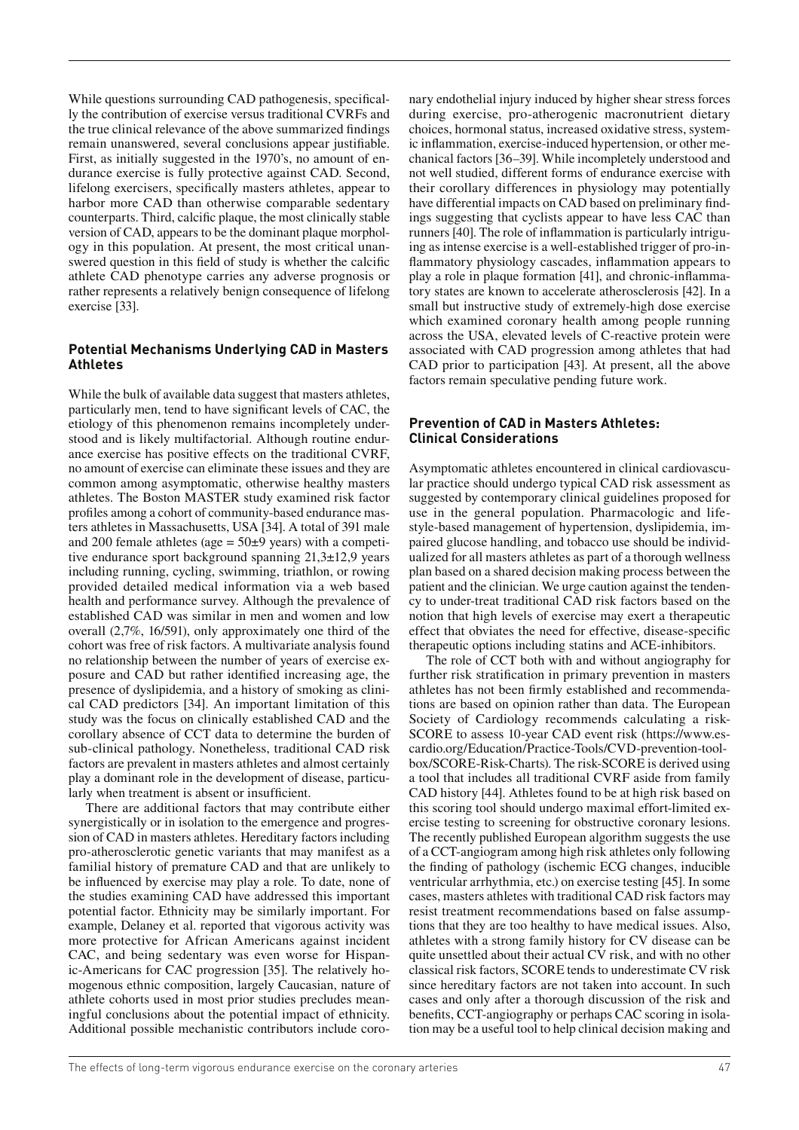While questions surrounding CAD pathogenesis, specifically the contribution of exercise versus traditional CVRFs and the true clinical relevance of the above summarized findings remain unanswered, several conclusions appear justifiable. First, as initially suggested in the 1970's, no amount of endurance exercise is fully protective against CAD. Second, lifelong exercisers, specifically masters athletes, appear to harbor more CAD than otherwise comparable sedentary counterparts. Third, calcific plaque, the most clinically stable version of CAD, appears to be the dominant plaque morphology in this population. At present, the most critical unanswered question in this field of study is whether the calcific athlete CAD phenotype carries any adverse prognosis or rather represents a relatively benign consequence of lifelong exercise [33].

#### **Potential Mechanisms Underlying CAD in Masters Athletes**

While the bulk of available data suggest that masters athletes, particularly men, tend to have significant levels of CAC, the etiology of this phenomenon remains incompletely understood and is likely multifactorial. Although routine endurance exercise has positive effects on the traditional CVRF, no amount of exercise can eliminate these issues and they are common among asymptomatic, otherwise healthy masters athletes. The Boston MASTER study examined risk factor profiles among a cohort of community-based endurance masters athletes in Massachusetts, USA [34]. A total of 391 male and 200 female athletes (age  $= 50\pm 9$  years) with a competitive endurance sport background spanning 21,3±12,9 years including running, cycling, swimming, triathlon, or rowing provided detailed medical information via a web based health and performance survey. Although the prevalence of established CAD was similar in men and women and low overall (2,7%, 16/591), only approximately one third of the cohort was free of risk factors. A multivariate analysis found no relationship between the number of years of exercise exposure and CAD but rather identified increasing age, the presence of dyslipidemia, and a history of smoking as clinical CAD predictors [34]. An important limitation of this study was the focus on clinically established CAD and the corollary absence of CCT data to determine the burden of sub-clinical pathology. Nonetheless, traditional CAD risk factors are prevalent in masters athletes and almost certainly play a dominant role in the development of disease, particularly when treatment is absent or insufficient.

There are additional factors that may contribute either synergistically or in isolation to the emergence and progression of CAD in masters athletes. Hereditary factors including pro-atherosclerotic genetic variants that may manifest as a familial history of premature CAD and that are unlikely to be influenced by exercise may play a role. To date, none of the studies examining CAD have addressed this important potential factor. Ethnicity may be similarly important. For example, Delaney et al. reported that vigorous activity was more protective for African Americans against incident CAC, and being sedentary was even worse for Hispanic-Americans for CAC progression [35]. The relatively homogenous ethnic composition, largely Caucasian, nature of athlete cohorts used in most prior studies precludes meaningful conclusions about the potential impact of ethnicity. Additional possible mechanistic contributors include coronary endothelial injury induced by higher shear stress forces during exercise, pro-atherogenic macronutrient dietary choices, hormonal status, increased oxidative stress, systemic inflammation, exercise-induced hypertension, or other mechanical factors [36–39]. While incompletely understood and not well studied, different forms of endurance exercise with their corollary differences in physiology may potentially have differential impacts on CAD based on preliminary findings suggesting that cyclists appear to have less CAC than runners [40]. The role of inflammation is particularly intriguing as intense exercise is a well-established trigger of pro-in flammatory physiology cascades, inflammation appears to play a role in plaque formation [41], and chronic-inflammatory states are known to accelerate atherosclerosis [42]. In a small but instructive study of extremely-high dose exercise which examined coronary health among people running across the USA, elevated levels of C-reactive protein were associated with CAD progression among athletes that had CAD prior to participation [43]. At present, all the above factors remain speculative pending future work.

#### **Prevention of CAD in Masters Athletes: Clinical Considerations**

Asymptomatic athletes encountered in clinical cardiovascular practice should undergo typical CAD risk assessment as suggested by contemporary clinical guidelines proposed for use in the general population. Pharmacologic and lifestyle-based management of hypertension, dyslipidemia, impaired glucose handling, and tobacco use should be individualized for all masters athletes as part of a thorough wellness plan based on a shared decision making process between the patient and the clinician. We urge caution against the tendency to under-treat traditional CAD risk factors based on the notion that high levels of exercise may exert a therapeutic effect that obviates the need for effective, disease-specific therapeutic options including statins and ACE-inhibitors.

The role of CCT both with and without angiography for further risk stratification in primary prevention in masters athletes has not been firmly established and recommendations are based on opinion rather than data. The European Society of Cardiology recommends calculating a risk-SCORE to assess 10-year CAD event risk (https://www.escardio.org/Education/Practice-Tools/CVD-prevention-toolbox/SCORE-Risk-Charts). The risk-SCORE is derived using a tool that includes all traditional CVRF aside from family CAD history [44]. Athletes found to be at high risk based on this scoring tool should undergo maximal effort-limited exercise testing to screening for obstructive coronary lesions. The recently published European algorithm suggests the use of a CCT-angiogram among high risk athletes only following the finding of pathology (ischemic ECG changes, inducible ventricular arrhythmia, etc.) on exercise testing [45]. In some cases, masters athletes with traditional CAD risk factors may resist treatment recommendations based on false assumptions that they are too healthy to have medical issues. Also, athletes with a strong family history for CV disease can be quite unsettled about their actual CV risk, and with no other classical risk factors, SCORE tends to underestimate CV risk since hereditary factors are not taken into account. In such cases and only after a thorough discussion of the risk and benefits, CCT-angiography or perhaps CAC scoring in isolation may be a useful tool to help clinical decision making and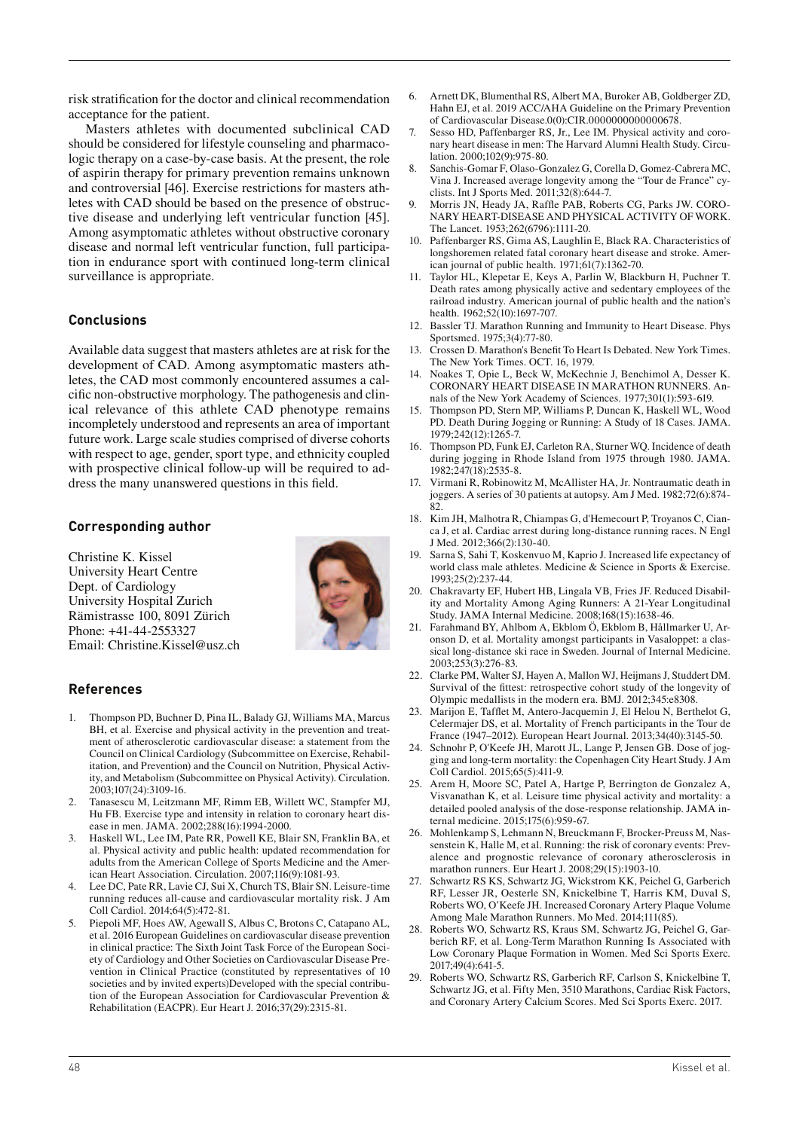risk stratification for the doctor and clinical recommendation acceptance for the patient.

Masters athletes with documented subclinical CAD should be considered for lifestyle counseling and pharmacologic therapy on a case-by-case basis. At the present, the role of aspirin therapy for primary prevention remains unknown and controversial [46]. Exercise restrictions for masters athletes with CAD should be based on the presence of obstructive disease and underlying left ventricular function [45]. Among asymptomatic athletes without obstructive coronary disease and normal left ventricular function, full participation in endurance sport with continued long-term clinical surveillance is appropriate.

#### **Conclusions**

Available data suggest that masters athletes are at risk for the development of CAD. Among asymptomatic masters athletes, the CAD most commonly encountered assumes a calcific non-obstructive morphology. The pathogenesis and clinical relevance of this athlete CAD phenotype remains incompletely understood and represents an area of important future work. Large scale studies comprised of diverse cohorts with respect to age, gender, sport type, and ethnicity coupled with prospective clinical follow-up will be required to address the many unanswered questions in this field.

#### **Corresponding author**

Christine K. Kissel University Heart Centre Dept. of Cardiology University Hospital Zurich Rämistrasse 100, 8091 Zürich Phone: +41-44-2553327 Email: Christine.Kissel@usz.ch



# **References**

- 1. Thompson PD, Buchner D, Pina IL, Balady GJ, Williams MA, Marcus BH, et al. Exercise and physical activity in the prevention and treatment of atherosclerotic cardiovascular disease: a statement from the Council on Clinical Cardiology (Subcommittee on Exercise, Rehabilitation, and Prevention) and the Council on Nutrition, Physical Activity, and Metabolism (Subcommittee on Physical Activity). Circulation. 2003;107(24):3109-16.
- 2. Tanasescu M, Leitzmann MF, Rimm EB, Willett WC, Stampfer MJ, Hu FB. Exercise type and intensity in relation to coronary heart disease in men. JAMA. 2002;288(16):1994-2000.
- 3. Haskell WL, Lee IM, Pate RR, Powell KE, Blair SN, Franklin BA, et al. Physical activity and public health: updated recommendation for adults from the American College of Sports Medicine and the American Heart Association. Circulation. 2007;116(9):1081-93.
- 4. Lee DC, Pate RR, Lavie CJ, Sui X, Church TS, Blair SN. Leisure-time running reduces all-cause and cardiovascular mortality risk. J Am Coll Cardiol. 2014;64(5):472-81.
- 5. Piepoli MF, Hoes AW, Agewall S, Albus C, Brotons C, Catapano AL, et al. 2016 European Guidelines on cardiovascular disease prevention in clinical practice: The Sixth Joint Task Force of the European Society of Cardiology and Other Societies on Cardiovascular Disease Prevention in Clinical Practice (constituted by representatives of 10 societies and by invited experts)Developed with the special contribution of the European Association for Cardiovascular Prevention & Rehabilitation (EACPR). Eur Heart J. 2016;37(29):2315-81.
- 6. Arnett DK, Blumenthal RS, Albert MA, Buroker AB, Goldberger ZD, Hahn EJ, et al. 2019 ACC/AHA Guideline on the Primary Prevention of Cardiovascular Disease.0(0):CIR.0000000000000678.
- 7. Sesso HD, Paffenbarger RS, Jr., Lee IM. Physical activity and coronary heart disease in men: The Harvard Alumni Health Study. Circulation. 2000;102(9):975-80.
- 8. Sanchis-Gomar F, Olaso-Gonzalez G, Corella D, Gomez-Cabrera MC, Vina J. Increased average longevity among the "Tour de France" cyclists. Int J Sports Med. 2011;32(8):644-7.
- 9. Morris JN, Heady JA, Raffle PAB, Roberts CG, Parks JW. CORO-NARY HEART-DISEASE AND PHYSICAL ACTIVITY OF WORK. The Lancet. 1953;262(6796):1111-20.
- 10. Paffenbarger RS, Gima AS, Laughlin E, Black RA. Characteristics of longshoremen related fatal coronary heart disease and stroke. American journal of public health. 1971;61(7):1362-70.
- 11. Taylor HL, Klepetar E, Keys A, Parlin W, Blackburn H, Puchner T. Death rates among physically active and sedentary employees of the railroad industry. American journal of public health and the nation's health. 1962:52(10):1697-707.
- 12. Bassler TJ. Marathon Running and Immunity to Heart Disease. Phys Sportsmed. 1975;3(4):77-80.
- 13. Crossen D. Marathon's Benefit To Heart Is Debated. New York Times. The New York Times. OCT. 16, 1979.
- 14. Noakes T, Opie L, Beck W, McKechnie J, Benchimol A, Desser K. CORONARY HEART DISEASE IN MARATHON RUNNERS. Annals of the New York Academy of Sciences. 1977;301(1):593-619.
- 15. Thompson PD, Stern MP, Williams P, Duncan K, Haskell WL, Wood PD. Death During Jogging or Running: A Study of 18 Cases. JAMA. 1979;242(12):1265-7.
- 16. Thompson PD, Funk EJ, Carleton RA, Sturner WQ. Incidence of death during jogging in Rhode Island from 1975 through 1980. JAMA. 1982;247(18):2535-8.
- 17. Virmani R, Robinowitz M, McAllister HA, Jr. Nontraumatic death in joggers. A series of 30 patients at autopsy. Am J Med. 1982;72(6):874- 82
- 18. Kim JH, Malhotra R, Chiampas G, d'Hemecourt P, Troyanos C, Cianca J, et al. Cardiac arrest during long-distance running races. N Engl J Med. 2012;366(2):130-40.
- Sarna S, Sahi T, Koskenvuo M, Kaprio J. Increased life expectancy of world class male athletes. Medicine & Science in Sports & Exercise. 1993;25(2):237-44.
- 20. Chakravarty EF, Hubert HB, Lingala VB, Fries JF. Reduced Disability and Mortality Among Aging Runners: A 21-Year Longitudinal Study. JAMA Internal Medicine. 2008;168(15):1638-46.
- 21. Farahmand BY, Ahlbom A, Ekblom Ö, Ekblom B, Hållmarker U, Aronson D, et al. Mortality amongst participants in Vasaloppet: a classical long-distance ski race in Sweden. Journal of Internal Medicine. 2003;253(3):276-83.
- 22. Clarke PM, Walter SJ, Hayen A, Mallon WJ, Heijmans J, Studdert DM. Survival of the fittest: retrospective cohort study of the longevity of Olympic medallists in the modern era. BMJ. 2012;345:e8308.
- 23. Marijon E, Tafflet M, Antero-Jacquemin J, El Helou N, Berthelot G, Celermajer DS, et al. Mortality of French participants in the Tour de France (1947–2012). European Heart Journal. 2013;34(40):3145-50.
- 24. Schnohr P, O'Keefe JH, Marott JL, Lange P, Jensen GB. Dose of jogging and long-term mortality: the Copenhagen City Heart Study. J Am Coll Cardiol. 2015;65(5):411-9.
- 25. Arem H, Moore SC, Patel A, Hartge P, Berrington de Gonzalez A, Visvanathan K, et al. Leisure time physical activity and mortality: a detailed pooled analysis of the dose-response relationship. JAMA internal medicine. 2015;175(6):959-67.
- 26. Mohlenkamp S, Lehmann N, Breuckmann F, Brocker-Preuss M, Nassenstein K, Halle M, et al. Running: the risk of coronary events: Prevalence and prognostic relevance of coronary atherosclerosis in marathon runners. Eur Heart J. 2008;29(15):1903-10.
- Schwartz RS KS, Schwartz JG, Wickstrom KK, Peichel G, Garberich RF, Lesser JR, Oesterle SN, Knickelbine T, Harris KM, Duval S, Roberts WO, O'Keefe JH. Increased Coronary Artery Plaque Volume Among Male Marathon Runners. Mo Med. 2014;111(85).
- 28. Roberts WO, Schwartz RS, Kraus SM, Schwartz JG, Peichel G, Garberich RF, et al. Long-Term Marathon Running Is Associated with Low Coronary Plaque Formation in Women. Med Sci Sports Exerc.  $2017.49(4)641-5$
- 29. Roberts WO, Schwartz RS, Garberich RF, Carlson S, Knickelbine T, Schwartz JG, et al. Fifty Men, 3510 Marathons, Cardiac Risk Factors, and Coronary Artery Calcium Scores. Med Sci Sports Exerc. 2017.